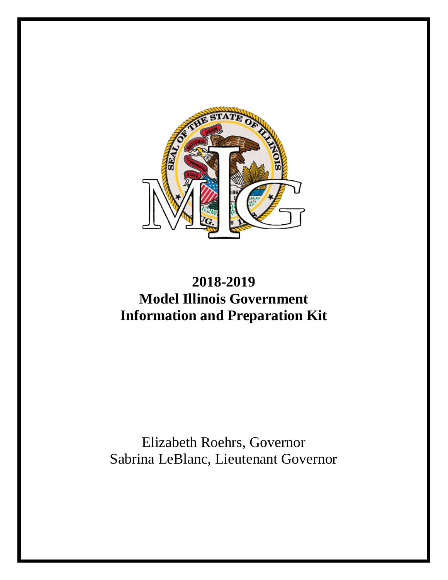

# **2018-2019 Model Illinois Government Information and Preparation Kit**

# Elizabeth Roehrs, Governor Sabrina LeBlanc, Lieutenant Governor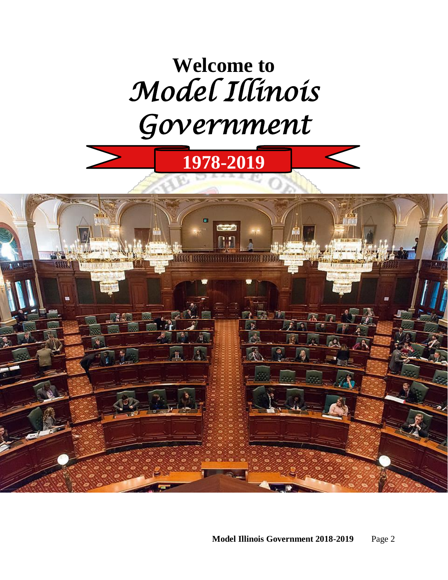# **Welcome to**  *Model Illinois Government*

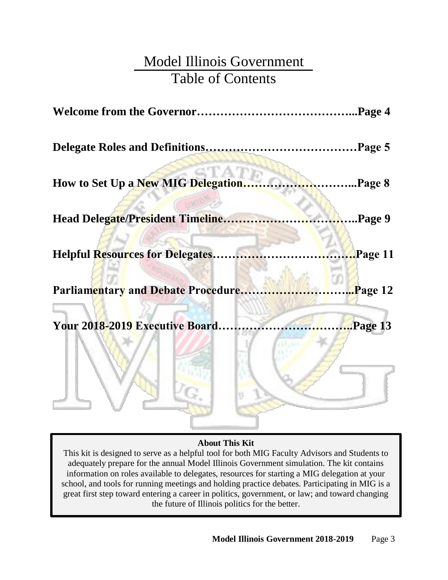# Model Illinois Government Table of Contents

| How to Set Up a New MIG Delegation     | <b>External Page 8</b> |
|----------------------------------------|------------------------|
| Head Delegate/President Timeline       | Page 9                 |
| <b>Helpful Resources for Delegates</b> |                        |
| Parliamentary and Debate Procedure     | Page 12                |
| Your 2018-2019 Executive Board         | $\cdot$ Page 13        |
|                                        |                        |

#### **About This Kit**

This kit is designed to serve as a helpful tool for both MIG Faculty Advisors and Students to adequately prepare for the annual Model Illinois Government simulation. The kit contains information on roles available to delegates, resources for starting a MIG delegation at your school, and tools for running meetings and holding practice debates. Participating in MIG is a great first step toward entering a career in politics, government, or law; and toward changing the future of Illinois politics for the better.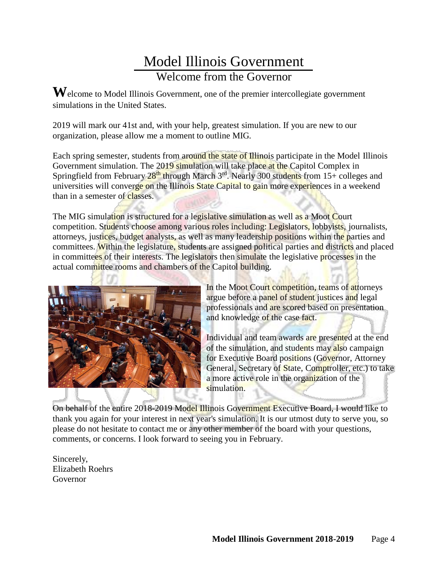# Model Illinois Government Welcome from the Governor

**W**elcome to Model Illinois Government, one of the premier intercollegiate government simulations in the United States.

2019 will mark our 41st and, with your help, greatest simulation. If you are new to our organization, please allow me a moment to outline MIG.

Each spring semester, students from around the state of Illinois participate in the Model Illinois Government simulation. The 2019 simulation will take place at the Capitol Complex in Springfield from February  $28<sup>th</sup>$  through March  $3<sup>rd</sup>$ . Nearly 300 students from 15+ colleges and universities will converge on the Illinois State Capital to gain more experiences in a weekend than in a semester of classes.

The MIG simulation is structured for a legislative simulation as well as a Moot Court competition. Students choose among various roles including: Legislators, lobbyists, journalists, attorneys, justices, budget analysts, as well as many leadership positions within the parties and committees. Within the legislature, students are assigned political parties and districts and placed in committees of their interests. The legislators then simulate the legislative processes in the actual committee rooms and chambers of the Capitol building.



In the Moot Court competition, teams of attorneys argue before a panel of student justices and legal professionals and are scored based on presentation and knowledge of the case fact.

Individual and team awards are presented at the end of the simulation, and students may also campaign for Executive Board positions (Governor, Attorney General, Secretary of State, Comptroller, etc.) to take a more active role in the organization of the simulation.

On behalf of the entire 2018-2019 Model Illinois Government Executive Board, I would like to thank you again for your interest in next year's simulation. It is our utmost duty to serve you, so please do not hesitate to contact me or any other member of the board with your questions, comments, or concerns. I look forward to seeing you in February.

Sincerely, Elizabeth Roehrs Governor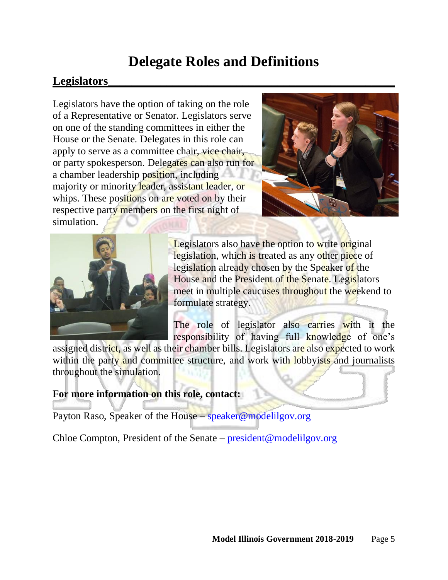# **Delegate Roles and Definitions**

## **Legislators\_\_\_\_\_\_\_\_\_\_\_\_\_\_\_\_\_\_\_\_\_\_\_\_\_\_\_\_\_\_\_\_\_\_\_\_\_\_\_\_\_\_\_\_\_\_\_\_\_**

Legislators have the option of taking on the role of a Representative or Senator. Legislators serve on one of the standing committees in either the House or the Senate. Delegates in this role can apply to serve as a committee chair, vice chair, or party spokesperson. Delegates can also run for a chamber leadership position, including majority or minority leader, assistant leader, or whips. These positions on are voted on by their respective party members on the first night of simulation.





Legislators also have the option to write original legislation, which is treated as any other piece of legislation already chosen by the Speaker of the House and the President of the Senate. Legislators meet in multiple caucuses throughout the weekend to formulate strategy.

The role of legislator also carries with it the responsibility of having full knowledge of one's

assigned district, as well as their chamber bills. Legislators are also expected to work within the party and committee structure, and work with lobbyists and journalists throughout the simulation.

#### **For more information on this role, contact:**

Payton Raso, Speaker of the House – [speaker@modelilgov.org](mailto:speaker@modelilgov.org)

Chloe Compton, President of the Senate – [president@modelilgov.org](mailto:president@modelilgov.org)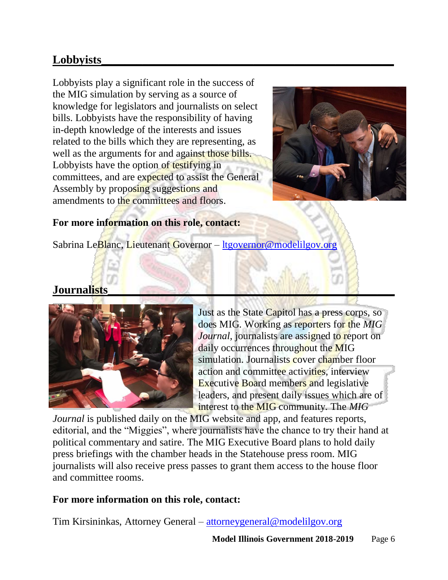# **Lobbyists\_\_\_\_\_\_\_\_\_\_\_\_\_\_\_\_\_\_\_\_\_\_\_\_\_\_\_\_\_\_\_\_\_\_\_\_\_\_\_\_\_\_\_\_\_\_\_\_\_\_**

Lobbyists play a significant role in the success of the MIG simulation by serving as a source of knowledge for legislators and journalists on select bills. Lobbyists have the responsibility of having in-depth knowledge of the interests and issues related to the bills which they are representing, as well as the arguments for and against those bills. Lobbyists have the option of testifying in committees, and are expected to assist the General Assembly by proposing suggestions and amendments to the committees and floors.



### **For more information on this role, contact:**

Sabrina LeBlanc, Lieutenant Governor – [ltgovernor@modelilgov.org](mailto:ltgovernor@modelilgov.org)

### **Journalists\_\_\_\_\_\_\_\_\_\_\_\_\_\_\_\_\_\_\_\_\_\_\_\_\_\_\_\_\_\_\_\_\_\_\_\_\_\_\_\_\_\_\_\_\_\_\_\_\_**



Just as the State Capitol has a press corps, so does MIG. Working as reporters for the *MIG Journal*, journalists are assigned to report on daily occurrences throughout the MIG simulation. Journalists cover chamber floor action and committee activities, interview Executive Board members and legislative leaders, and present daily issues which are of interest to the MIG community. The *MIG* 

*Journal* is published daily on the MIG website and app, and features reports, editorial, and the "Miggies", where journalists have the chance to try their hand at political commentary and satire. The MIG Executive Board plans to hold daily press briefings with the chamber heads in the Statehouse press room. MIG journalists will also receive press passes to grant them access to the house floor and committee rooms.

### **For more information on this role, contact:**

Tim Kirsininkas, Attorney General – [attorneygeneral@modelilgov.org](mailto:attorneygeneral@modelilgov.org)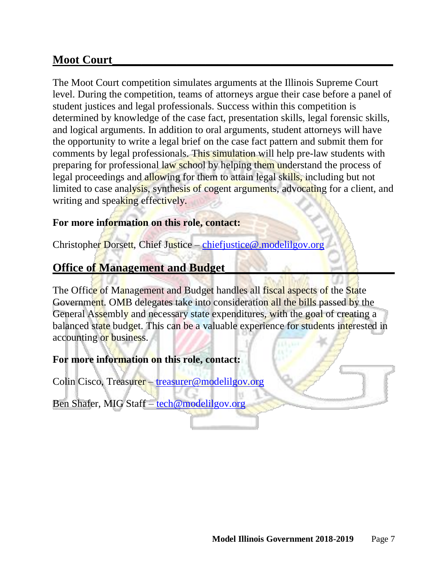### **Moot Court**

The Moot Court competition simulates arguments at the Illinois Supreme Court level. During the competition, teams of attorneys argue their case before a panel of student justices and legal professionals. Success within this competition is determined by knowledge of the case fact, presentation skills, legal forensic skills, and logical arguments. In addition to oral arguments, student attorneys will have the opportunity to write a legal brief on the case fact pattern and submit them for comments by legal professionals. This simulation will help pre-law students with preparing for professional law school by helping them understand the process of legal proceedings and allowing for them to attain legal skills, including but not limited to case analysis, synthesis of cogent arguments, advocating for a client, and writing and speaking effectively.

#### **For more information on this role, contact:**

Christopher Dorsett, Chief Justice – [chiefjustice@.modelilgov.org](mailto:chiefjustice@.modelilgov.org)

### **Office of Management and Budget\_\_\_\_\_\_\_\_\_\_\_\_\_\_\_\_\_\_\_\_\_\_\_\_\_\_\_\_\_**

The Office of Management and Budget handles all fiscal aspects of the State Government. OMB delegates take into consideration all the bills passed by the General Assembly and necessary state expenditures, with the goal of creating a balanced state budget. This can be a valuable experience for students interested in accounting or business.

### **For more information on this role, contact:**

Colin Cisco, Treasurer – [treasurer@modelilgov.org](mailto:treasurer@modelilgov.org)

Ben Shafer, MIG Staff – [tech@modelilgov.org](mailto:tech@modelilgov.org)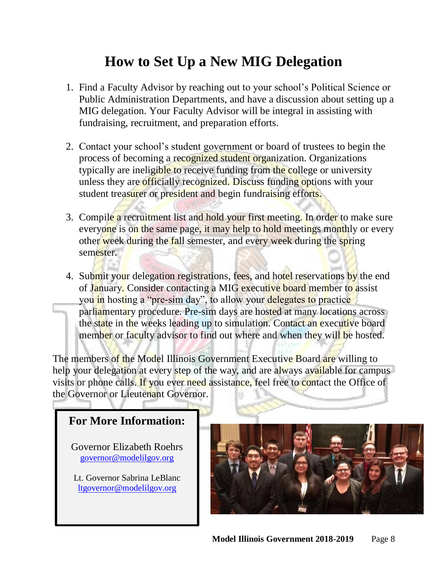# **How to Set Up a New MIG Delegation**

- 1. Find a Faculty Advisor by reaching out to your school's Political Science or Public Administration Departments, and have a discussion about setting up a MIG delegation. Your Faculty Advisor will be integral in assisting with fundraising, recruitment, and preparation efforts.
- 2. Contact your school's student government or board of trustees to begin the process of becoming a recognized student organization. Organizations typically are ineligible to receive funding from the college or university unless they are officially recognized. Discuss funding options with your student treasurer or president and begin fundraising efforts.
- 3. Compile a recruitment list and hold your first meeting. In order to make sure everyone is on the same page, it may help to hold meetings monthly or every other week during the fall semester, and every week during the spring semester.
- 4. Submit your delegation registrations, fees, and hotel reservations by the end of January. Consider contacting a MIG executive board member to assist you in hosting a "pre-sim day", to allow your delegates to practice parliamentary procedure. Pre-sim days are hosted at many locations across the state in the weeks leading up to simulation. Contact an executive board member or faculty advisor to find out where and when they will be hosted.

The members of the Model Illinois Government Executive Board are willing to help your delegation at every step of the way, and are always available for campus visits or phone calls. If you ever need assistance, feel free to contact the Office of the Governor or Lieutenant Governor.

### **For More Information:**

Governor Elizabeth Roehrs [governor@modelilgov.org](mailto:governor@modelilgov.org)

Lt. Governor Sabrina LeBlanc [ltgovernor@modelilgov.org](mailto:ltgovernor@modelilgov.org)

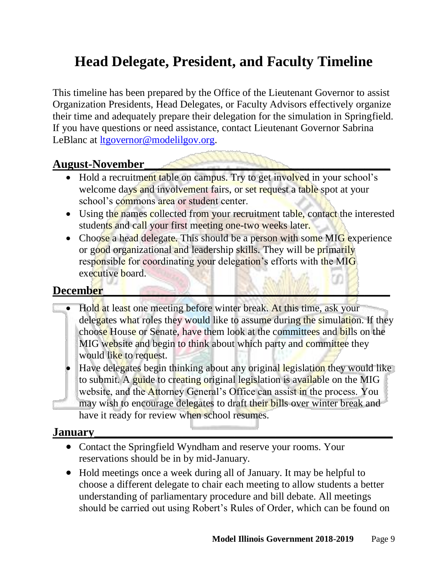# **Head Delegate, President, and Faculty Timeline**

This timeline has been prepared by the Office of the Lieutenant Governor to assist Organization Presidents, Head Delegates, or Faculty Advisors effectively organize their time and adequately prepare their delegation for the simulation in Springfield. If you have questions or need assistance, contact Lieutenant Governor Sabrina LeBlanc at <u>Itgovernor@modelilgov.org</u>.

### **August-November\_\_\_\_\_\_\_\_\_\_\_\_\_\_\_\_\_\_\_\_\_\_\_\_\_\_\_\_\_\_\_\_\_\_\_\_\_\_\_\_\_\_\_\_\_\_\_\_**

- Hold a recruitment table on campus. Try to get involved in your school's welcome days and involvement fairs, or set request a table spot at your school's commons area or student center.
- Using the names collected from your recruitment table, contact the interested students and call your first meeting one-two weeks later.
- Choose a head delegate. This should be a person with some MIG experience or good organizational and leadership skills. They will be primarily responsible for coordinating your delegation's efforts with the MIG executive board.

### December

- Hold at least one meeting before winter break. At this time, ask your delegates what roles they would like to assume during the simulation. If they choose House or Senate, have them look at the committees and bills on the MIG website and begin to think about which party and committee they would like to request.
	- Have delegates begin thinking about any original legislation they would like to submit. A guide to creating original legislation is available on the MIG website, and the Attorney General's Office can assist in the process. You may wish to encourage delegates to draft their bills over winter break and have it ready for review when school resumes.

### **January\_\_\_\_\_\_\_\_\_\_\_\_\_\_\_\_\_\_\_\_\_\_\_\_\_\_\_\_\_\_\_\_\_\_\_\_\_\_\_\_\_\_\_\_\_\_\_\_\_\_\_**

- Contact the Springfield Wyndham and reserve your rooms. Your reservations should be in by mid-January.
- Hold meetings once a week during all of January. It may be helpful to choose a different delegate to chair each meeting to allow students a better understanding of parliamentary procedure and bill debate. All meetings should be carried out using Robert's Rules of Order, which can be found on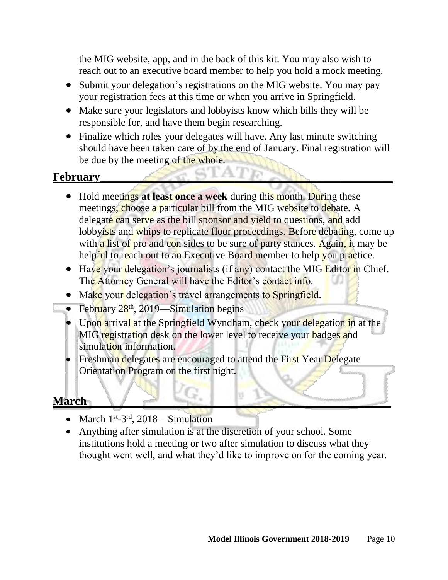the MIG website, app, and in the back of this kit. You may also wish to reach out to an executive board member to help you hold a mock meeting.

- Submit your delegation's registrations on the MIG website. You may pay your registration fees at this time or when you arrive in Springfield.
- Make sure your legislators and lobbyists know which bills they will be responsible for, and have them begin researching.
- Finalize which roles your delegates will have. Any last minute switching should have been taken care of by the end of January. Final registration will be due by the meeting of the whole.

### **February\_\_\_\_\_\_\_\_\_\_\_\_\_\_\_\_\_\_\_\_\_\_\_\_\_\_\_\_\_\_\_\_\_\_\_\_\_\_\_\_\_\_\_\_\_\_\_\_\_\_**

- Hold meetings at least once a week during this month. During these meetings, choose a particular bill from the MIG website to debate. A delegate can serve as the bill sponsor and yield to questions, and add lobbyists and whips to replicate floor proceedings. Before debating, come up with a list of pro and con sides to be sure of party stances. Again, it may be helpful to reach out to an Executive Board member to help you practice.
- Have your delegation's journalists (if any) contact the MIG Editor in Chief. The Attorney General will have the Editor's contact info.
- Make your delegation's travel arrangements to Springfield.
- February  $28<sup>th</sup>$ , 2019—Simulation begins
- Upon arrival at the Springfield Wyndham, check your delegation in at the MIG registration desk on the lower level to receive your badges and simulation information.
- Freshman delegates are encouraged to attend the First Year Delegate Orientation Program on the first night.

### March **March**

- March  $1^{st}$ -3<sup>rd</sup>, 2018 Simulation
- Anything after simulation is at the discretion of your school. Some institutions hold a meeting or two after simulation to discuss what they thought went well, and what they'd like to improve on for the coming year.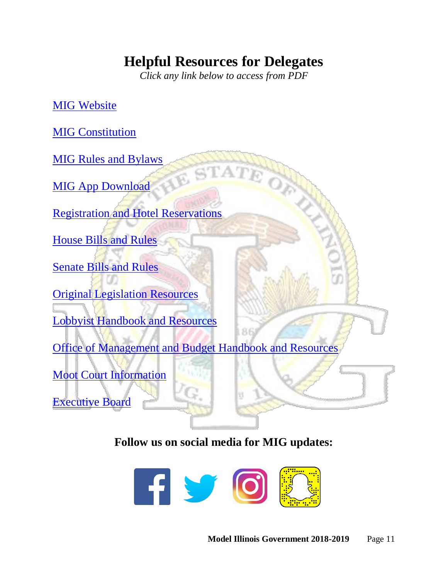# **Helpful Resources for Delegates**

*Click any link below to access from PDF*

MIG [Website](http://www.modelilgov.org/)

**MIG [Constitution](https://www.modelilgov.org/govdocs)** 

MIG [Rules and Bylaws](https://www.modelilgov.org/govdocs)

**[MIG App Download](http://www.modelilgov.org/migapp)** 

[Registration and Hotel Reservations](http://www.modelilgov.org/register)

[House Bills and Rules](http://www.modelilgov.org/house)

[Senate Bills and Rules](http://www.modelilgov.org/senate)

[Original Legislation Resources](https://www.modelilgov.org/ol) [Lobbyist Handbook and Resources](http://www.modelilgov.org/lobbyist)

[Office of Management and Budget Handbook and Resources](https://www.modelilgov.org/omb)

[Moot Court Information](https://www.modelilgov.org/mootcourt)

[Executive Board](https://www.modelilgov.org/eboard)

**Follow us on social media for MIG updates:**

86

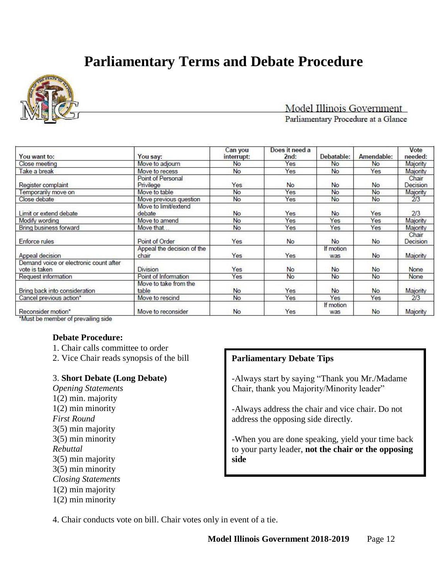# **Parliamentary Terms and Debate Procedure**



#### Model Illinois Government Parliamentary Procedure at a Glance

| You want to:                                            | You say:                            | Can you<br>interrupt: | Does it need a<br>2nd: | Debatable:       | Amendable: | Vote<br>needed:   |
|---------------------------------------------------------|-------------------------------------|-----------------------|------------------------|------------------|------------|-------------------|
| Close meeting                                           | Move to adjourn                     | <b>No</b>             | Yes                    | No               | No         | Majority          |
| Take a break                                            | Move to recess                      | <b>No</b>             | Yes                    | No               | Yes        | Majority          |
| Register complaint                                      | Point of Personal<br>Privilege      | Yes                   | No                     | <b>No</b>        | <b>No</b>  | Chair<br>Decision |
| Temporarily move on                                     | Move to table                       | No                    | Yes                    | No               | No         | Majority          |
| Close debate                                            | Move previous question              | No                    | Yes                    | No               | No         | 2/3               |
| Limit or extend debate                                  | Move to limit/extend<br>debate      | <b>No</b>             | Yes                    | <b>No</b>        | Yes        | 2/3               |
| Modify wording                                          | Move to amend                       | <b>No</b>             | Yes                    | Yes              | Yes        | Majority          |
| Bring business forward                                  | Move that                           | <b>No</b>             | Yes                    | Yes              | Yes        | Majority          |
| Enforce rules                                           | Point of Order                      | Yes                   | No                     | <b>No</b>        | <b>No</b>  | Chair<br>Decision |
| Appeal decision                                         | Appeal the decision of the<br>chair | Yes                   | Yes                    | If motion<br>was | No         | Majority          |
| Demand voice or electronic count after<br>vote is taken | Division                            | Yes                   | No                     | No               | No         | None              |
| Request information                                     | Point of Information                | Yes                   | No                     | No               | No         | None              |
| Bring back into consideration                           | Move to take from the<br>table      | <b>No</b>             | Yes                    | No               | No         | Majority          |
| Cancel previous action*                                 | Move to rescind                     | No                    | Yes                    | Yes              | Yes        | 2/3               |
| Reconsider motion*                                      | Move to reconsider                  | <b>No</b>             | Yes                    | If motion<br>was | <b>No</b>  | Majority          |

\*Must be member of prevailing side

#### **Debate Procedure:**

- 1. Chair calls committee to order
- 2. Vice Chair reads synopsis of the bill

#### 3. **Short Debate (Long Debate)**

*Opening Statements* 1(2) min. majority 1(2) min minority *First Round* 3(5) min majority 3(5) min minority *Rebuttal* 3(5) min majority 3(5) min minority *Closing Statements* 1(2) min majority 1(2) min minority

#### **Parliamentary Debate Tips**

-Always start by saying "Thank you Mr./Madame Chair, thank you Majority/Minority leader"

-Always address the chair and vice chair. Do not address the opposing side directly.

-When you are done speaking, yield your time back to your party leader, **not the chair or the opposing side**

4. Chair conducts vote on bill. Chair votes only in event of a tie.